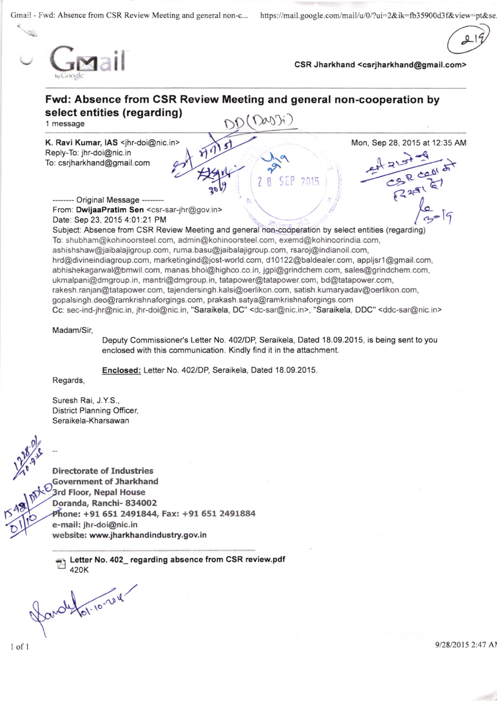Gmai! - Fwd: Absence from CSR Review Meeting and general non-c... https://mail.google.com/mail/u/0/?ui=2&ik=fb35900d3f&view=pt&se

 $\overline{a}$ 



CSR Jharkhand <csrjharkhand@gmail.com>



ne; +91 651 2491844, Fax: +91 651 2491884 e-mail: jhr-doi@nic.in

website: www.iharkhandindustry.gov.in

Letter No. 402\_ regarding absence from CSR review.pdf 420K

 $.10$   $.0$ (.

9/28/2015 2:47 Al

rs